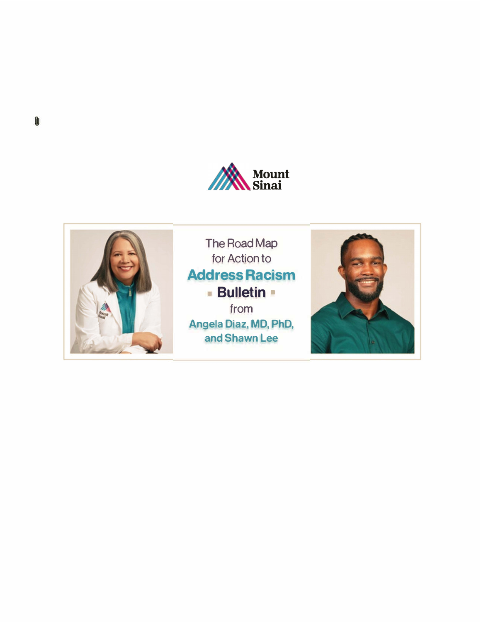



The Road Map for Action to **Address Racism Bulletin** • from

**Angela Diaz, MD, PhD, and Shawn Lee** 

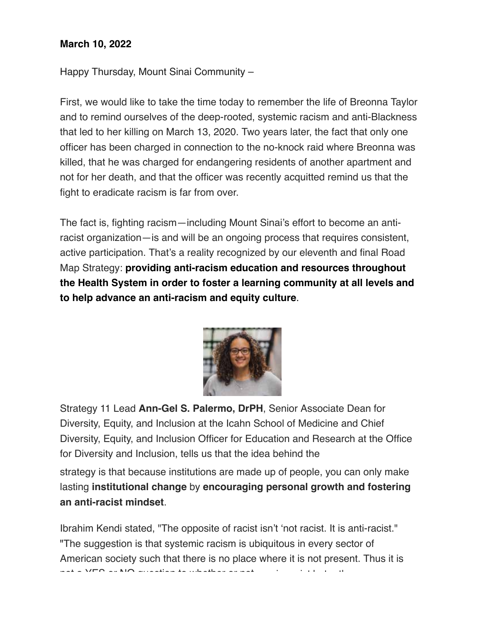## **March 10, 2022**

Happy Thursday, Mount Sinai Community –

First, we would like to take the time today to remember the life of Breonna Taylor and to remind ourselves of the deep-rooted, systemic racism and anti-Blackness that led to her killing on March 13, 2020. Two years later, the fact that only one officer has been charged in connection to the no-knock raid where Breonna was killed, that he was charged for endangering residents of another apartment and not for her death, and that the officer was recently acquitted remind us that the fight to eradicate racism is far from over.

The fact is, fighting racism—including Mount Sinai's effort to become an antiracist organization—is and will be an ongoing process that requires consistent, active participation. That's a reality recognized by our eleventh and final Road Map Strategy: **providing anti-racism education and resources throughout the Health System in order to foster a learning community at all levels and to help advance an anti-racism and equity culture**.



Strategy 11 Lead **Ann-Gel S. Palermo, DrPH**, Senior Associate Dean for Diversity, Equity, and Inclusion at the Icahn School of Medicine and Chief Diversity, Equity, and Inclusion Officer for Education and Research at the Office for Diversity and Inclusion, tells us that the idea behind the

strategy is that because institutions are made up of people, you can only make lasting **institutional change** by **encouraging personal growth and fostering an anti-racist mindset**.

Ibrahim Kendi stated, "The opposite of racist isn't 'not racist. It is anti-racist." "The suggestion is that systemic racism is ubiquitous in every sector of American society such that there is no place where it is not present. Thus it is not a YES or NO question to whether or not one is racist but rather are you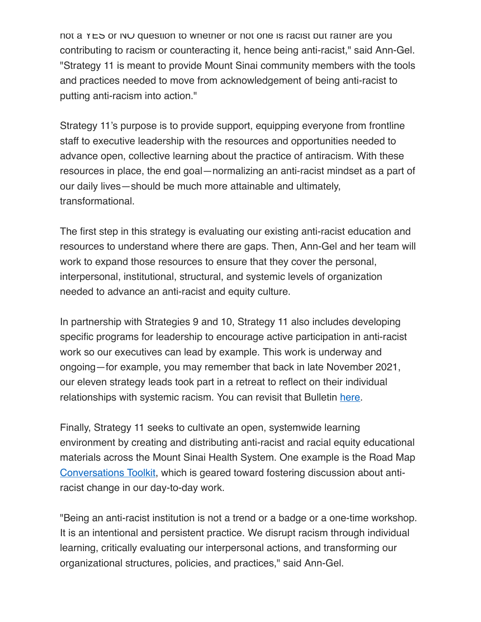not a YES or NO question to whether or not one is racist but rather are you contributing to racism or counteracting it, hence being anti-racist," said Ann-Gel. "Strategy 11 is meant to provide Mount Sinai community members with the tools and practices needed to move from acknowledgement of being anti-racist to putting anti-racism into action."

Strategy 11's purpose is to provide support, equipping everyone from frontline staff to executive leadership with the resources and opportunities needed to advance open, collective learning about the practice of antiracism. With these resources in place, the end goal—normalizing an anti-racist mindset as a part of our daily lives—should be much more attainable and ultimately, transformational.

The first step in this strategy is evaluating our existing anti-racist education and resources to understand where there are gaps. Then, Ann-Gel and her team will work to expand those resources to ensure that they cover the personal, interpersonal, institutional, structural, and systemic levels of organization needed to advance an anti-racist and equity culture.

In partnership with Strategies 9 and 10, Strategy 11 also includes developing specific programs for leadership to encourage active participation in anti-racist work so our executives can lead by example. This work is underway and ongoing—for example, you may remember that back in late November 2021, our eleven strategy leads took part in a retreat to reflect on their individual relationships with systemic racism. You can revisit that Bulletin here.

Finally, Strategy 11 seeks to cultivate an open, systemwide learning environment by creating and distributing anti-racist and racial equity educational materials across the Mount Sinai Health System. One example is the Road Map Conversations Toolkit, which is geared toward fostering discussion about antiracist change in our day-to-day work.

"Being an anti-racist institution is not a trend or a badge or a one-time workshop. It is an intentional and persistent practice. We disrupt racism through individual learning, critically evaluating our interpersonal actions, and transforming our organizational structures, policies, and practices," said Ann-Gel.